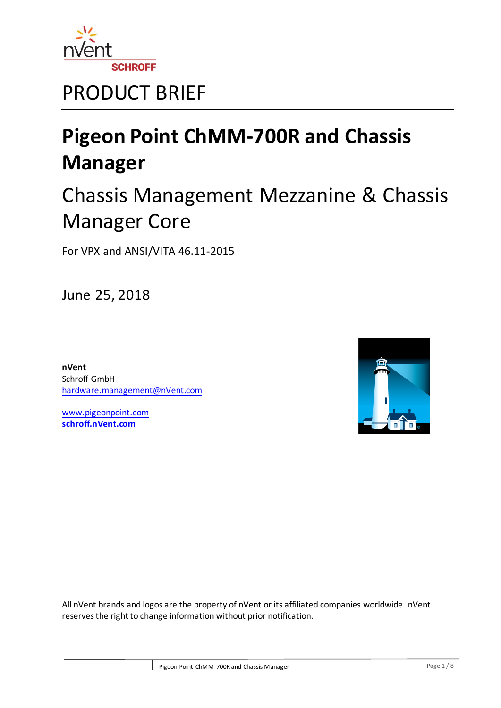

## PRODUCT BRIEF

# **Pigeon Point ChMM-700R and Chassis Manager**

## Chassis Management Mezzanine & Chassis Manager Core

For VPX and ANSI/VITA 46.11-2015

June 25, 2018

**nVent** Schroff GmbH [hardware.management@nVent.com](mailto:hardware.management@nVent.com)

[www.pigeonpoint.com](http://www.pigeonpoint.com/) **[schroff.nVent.com](https://schroff.nvent.com/)**



All nVent brands and logos are the property of nVent or its affiliated companies worldwide. nVent reserves the right to change information without prior notification.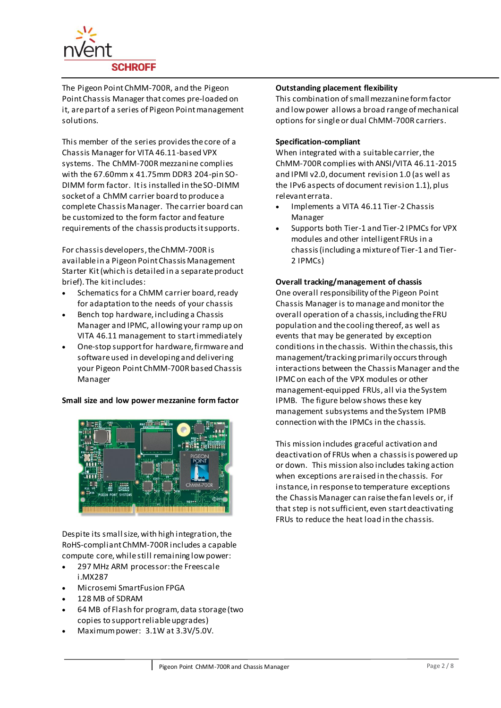

The Pigeon Point ChMM-700R, and the Pigeon Point Chassis Manager that comes pre-loaded on it, are part of a series of Pigeon Point management solutions.

This member of the series provides the core of a Chassis Manager for VITA 46.11-based VPX systems. The ChMM-700R mezzanine complies with the 67.60mm x 41.75mm DDR3 204-pin SO-DIMM form factor. It is installed in the SO-DIMM socket of a ChMM carrier board to produce a complete Chassis Manager. The carrier board can be customized to the form factor and feature requirements of the chassis products it supports.

For chassis developers, the ChMM-700R is available in a Pigeon Point Chassis Management Starter Kit (which is detailed in a separate product brief). The kit includes:

- Schematics for a ChMM carrier board, ready for adaptation to the needs of your chassis
- Bench top hardware, including a Chassis Manager and IPMC, allowing your ramp up on VITA 46.11 management to start immediately
- One-stop support for hardware, firmware and software used in developing and delivering your Pigeon Point ChMM-700R based Chassis Manager

## **Small size and low power mezzanine form factor**



Despite its small size, with high integration, the RoHS-compliant ChMM-700R includes a capable compute core, while still remaining low power:

- 297 MHz ARM processor: the Freescale i.MX287
- Microsemi SmartFusion FPGA
- 128 MB of SDRAM
- 64 MB of Flash for program, data storage (two copies to support reliable upgrades)
- Maximum power: 3.1W at 3.3V/5.0V.

## **Outstanding placement flexibility**

This combination of small mezzanine form factor and low power allows a broad range of mechanical options for single or dual ChMM-700R carriers.

## **Specification-compliant**

When integrated with a suitable carrier, the ChMM-700R complies with ANSI/VITA 46.11-2015 and IPMI v2.0, document revision 1.0 (as well as the IPv6 aspects of document revision 1.1), plus relevant errata.

- Implements a VITA 46.11 Tier-2 Chassis Manager
- Supports both Tier-1 and Tier-2 IPMCs for VPX modules and other intelligent FRUs in a chassis (including a mixture of Tier-1 and Tier-2 IPMCs)

## **Overall tracking/management of chassis**

One overall responsibility of the Pigeon Point Chassis Manager is to manage and monitor the overall operation of a chassis, including the FRU population and the cooling thereof, as well as events that may be generated by exception conditions in the chassis. Within the chassis, this management/tracking primarily occurs through interactions between the Chassis Manager and the IPMC on each of the VPX modules or other management-equipped FRUs, all via the System IPMB. The figure below shows these key management subsystems and the System IPMB connection with the IPMCs in the chassis.

This mission includes graceful activation and deactivation of FRUs when a chassis is powered up or down. This mission also includes taking action when exceptions are raised in the chassis. For instance, in response to temperature exceptions the Chassis Manager can raise the fan levels or, if that step is not sufficient, even start deactivating FRUs to reduce the heat load in the chassis.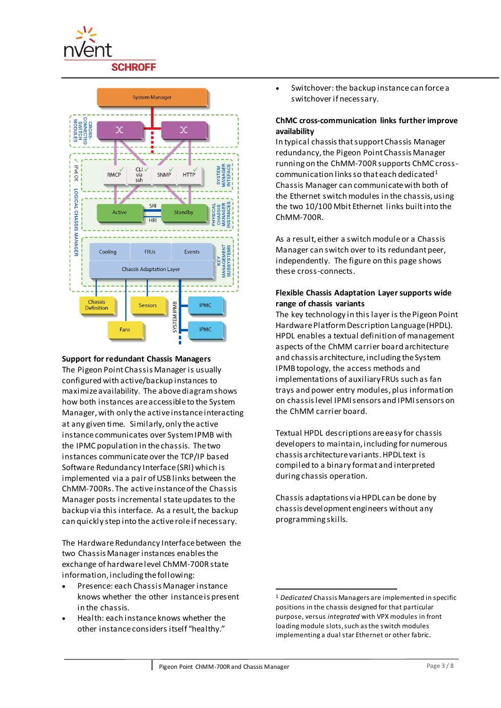



## **Support for redundant Chassis Managers**

The Pigeon Point Chassis Manager is usually configured with active/backup instances to maximize availability. The above diagram shows how both instances are accessible to the System Manager, with only the active instance interacting at any given time. Similarly, only the active instance communicates over System IPMB with the IPMC population in the chassis. The two instances communicate over the TCP/IP based Software Redundancy Interface (SRI) which is implemented via a pair of USB links between the ChMM-700Rs. The active instance of the Chassis Manager posts incremental state updates to the backup via this interface. As a result, the backup can quickly step into the active role if necessary.

The Hardware Redundancy Interface between the two Chassis Manager instances enables the exchange of hardware level ChMM-700R state information, including the following:

- Presence: each Chassis Manager instance knows whether the other instance is present in the chassis.
- Health: each instance knows whether the other instance considers itself "healthy."

 Switchover: the backup instance can force a switchover if necessary.

## **ChMC cross-communication links further improve availability**

In typical chassis that support Chassis Manager redundancy, the Pigeon Point Chassis Manager running on the ChMM-700R supports ChMC crosscommunication links so that each dedicated  $1$ Chassis Manager can communicate with both of the Ethernet switch modules in the chassis, using the two 10/100 Mbit Ethernet links built into the ChMM-700R.

As a result, either a switch module or a Chassis Manager can switch over to its redundant peer, independently. The figure on this page shows these cross-connects.

## **Flexible Chassis Adaptation Layer supports wide range of chassis variants**

The key technology in this layer is the Pigeon Point Hardware Platform Description Language (HPDL). HPDL enables a textual definition of management aspects of the ChMM carrier board architecture and chassis architecture, including the System IPMB topology, the access methods and implementations of auxiliary FRUs such as fan trays and power entry modules, plus information on chassis level IPMI sensors and IPMI sensors on the ChMM carrier board.

Textual HPDL descriptions are easy for chassis developers to maintain, including for numerous chassis architecture variants. HPDL text is compiled to a binary format and interpreted during chassis operation.

Chassis adaptations via HPDL can be done by chassis development engineers without any programming skills.

<sup>-</sup><sup>1</sup> *Dedicated* Chassis Managers are implemented in specific positions in the chassis designed for that particular purpose, versus *integrated* with VPX modules in front loading module slots, such as the switch modules implementing a dual star Ethernet or other fabric.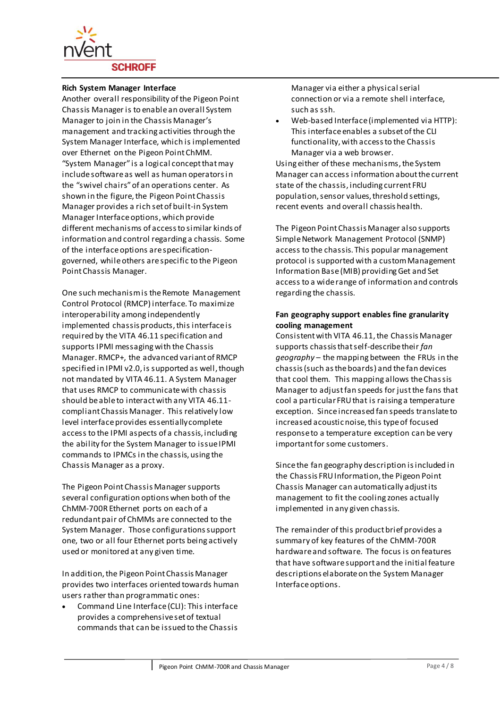

### **Rich System Manager Interface**

Another overall responsibility of the Pigeon Point Chassis Manager is to enable an overall System Manager to join in the Chassis Manager's management and tracking activities through the System Manager Interface, which is implemented over Ethernet on the Pigeon Point ChMM. "System Manager" is a logical concept that may include software as well as human operators in the "swivel chairs" of an operations center. As shown in the figure, the Pigeon Point Chassis Manager provides a rich set of built-in System Manager Interface options, which provide different mechanisms of access to similar kinds of information and control regarding a chassis. Some of the interface options are specificationgoverned, while others are specific to the Pigeon Point Chassis Manager.

One such mechanism is the Remote Management Control Protocol (RMCP) interface. To maximize interoperability among independently implemented chassis products, this interface is required by the VITA 46.11 specification and supports IPMI messaging with the Chassis Manager. RMCP+, the advanced variant of RMCP specified in IPMI v2.0, is supported as well, though not mandated by VITA 46.11. A System Manager that uses RMCP to communicate with chassis should be able to interact with any VITA 46.11 compliant Chassis Manager. This relatively low level interface provides essentially complete access to the IPMI aspects of a chassis, including the ability for the System Manager to issue IPMI commands to IPMCs in the chassis, using the Chassis Manager as a proxy.

The Pigeon Point Chassis Manager supports several configuration options when both of the ChMM-700R Ethernet ports on each of a redundant pair of ChMMs are connected to the System Manager. Those configurations support one, two or all four Ethernet ports being actively used or monitored at any given time.

In addition, the Pigeon Point Chassis Manager provides two interfaces oriented towards human users rather than programmatic ones:

 Command Line Interface (CLI): This interface provides a comprehensive set of textual commands that can be issued to the Chassis Manager via either a physical serial connection or via a remote shell interface, such as ssh.

 Web-based Interface (implemented via HTTP): This interface enables a subset of the CLI functionality, with access to the Chassis Manager via a web browser.

Using either of these mechanisms, the System Manager can access information about the current state of the chassis, including current FRU population, sensor values, threshold settings, recent events and overall chassis health.

The Pigeon Point Chassis Manager also supports Simple Network Management Protocol (SNMP) access to the chassis. This popular management protocol is supported with a custom Management Information Base (MIB) providing Get and Set access to a wide range of information and controls regarding the chassis.

## **Fan geography support enables fine granularity cooling management**

Consistent with VITA 46.11, the Chassis Manager supports chassis that self-describe their *fan geography* – the mapping between the FRUs in the chassis (such as the boards) and the fan devices that cool them. This mapping allows the Chassis Manager to adjust fan speeds for just the fans that cool a particular FRU that is raising a temperature exception. Since increased fan speeds translate to increased acoustic noise, this type of focused response to a temperature exception can be very important for some customers.

Since the fan geography description is included in the Chassis FRU Information, the Pigeon Point Chassis Manager can automatically adjust its management to fit the cooling zones actually implemented in any given chassis.

The remainder of this product brief provides a summary of key features of the ChMM-700R hardware and software. The focus is on features that have software support and the initial feature descriptions elaborate on the System Manager Interface options.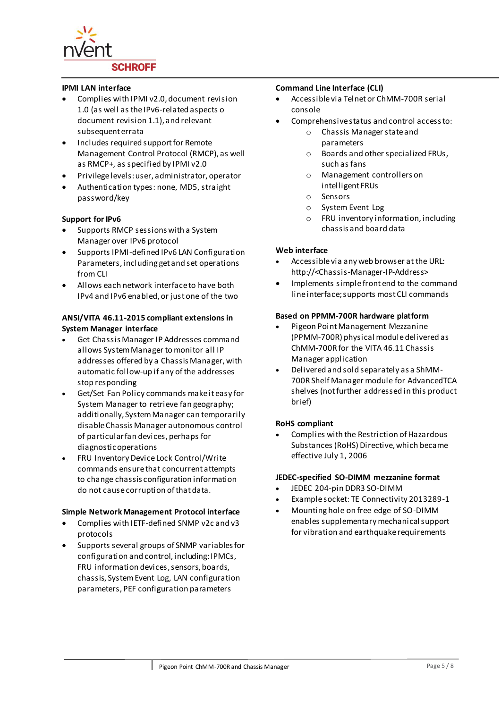

### **IPMI LAN interface**

- Complies with IPMI v2.0, document revision 1.0 (as well as the IPv6-related aspects o document revision 1.1), and relevant subsequent errata
- Includes required support for Remote Management Control Protocol (RMCP), as well as RMCP+, as specified by IPMI v2.0
- Privilege levels: user, administrator, operator
- Authentication types: none, MD5, straight password/key

## **Support for IPv6**

- Supports RMCP sessions with a System Manager over IPv6 protocol
- Supports IPMI-defined IPv6 LAN Configuration Parameters, including get and set operations from CLI
- Allows each network interface to have both IPv4 and IPv6 enabled, or just one of the two

## **ANSI/VITA 46.11-2015 compliant extensions in System Manager interface**

- Get Chassis Manager IP Addresses command allows System Manager to monitor all IP addresses offered by a Chassis Manager, with automatic follow-up if any of the addresses stop responding
- Get/Set Fan Policy commands make it easy for System Manager to retrieve fan geography; additionally, System Manager can temporarily disable Chassis Manager autonomous control of particular fan devices, perhaps for diagnostic operations
- FRU Inventory Device Lock Control/Write commands ensure that concurrent attempts to change chassis configuration information do not cause corruption of that data.

#### **Simple Network Management Protocol interface**

- Complies with IETF-defined SNMP v2c and v3 protocols
- Supports several groups of SNMP variables for configuration and control, including: IPMCs, FRU information devices, sensors, boards, chassis, System Event Log, LAN configuration parameters, PEF configuration parameters

### **Command Line Interface (CLI)**

- Accessible via Telnet or ChMM-700R serial console
- Comprehensive status and control access to:
	- o Chassis Manager state and parameters
	- o Boards and other specialized FRUs, such as fans
	- o Management controllers on intelligent FRUs
	- o Sensors
	- o System Event Log
	- o FRU inventory information, including chassis and board data

### **Web interface**

- Accessible via any web browser at the URL: http://<Chassis-Manager-IP-Address>
- Implements simple front end to the command line interface; supports most CLI commands

#### **Based on PPMM-700R hardware platform**

- Pigeon Point Management Mezzanine (PPMM-700R) physical module delivered as ChMM-700R for the VITA 46.11 Chassis Manager application
- Delivered and sold separately as a ShMM-700R Shelf Manager module for AdvancedTCA shelves (not further addressed in this product brief)

## **RoHS compliant**

 Complies with the Restriction of Hazardous Substances (RoHS) Directive, which became effective July 1, 2006

#### **JEDEC-specified SO-DIMM mezzanine format**

- JEDEC 204-pin DDR3 SO-DIMM
- Example socket: TE Connectivity 2013289-1
- Mounting hole on free edge of SO-DIMM enables supplementary mechanical support for vibration and earthquake requirements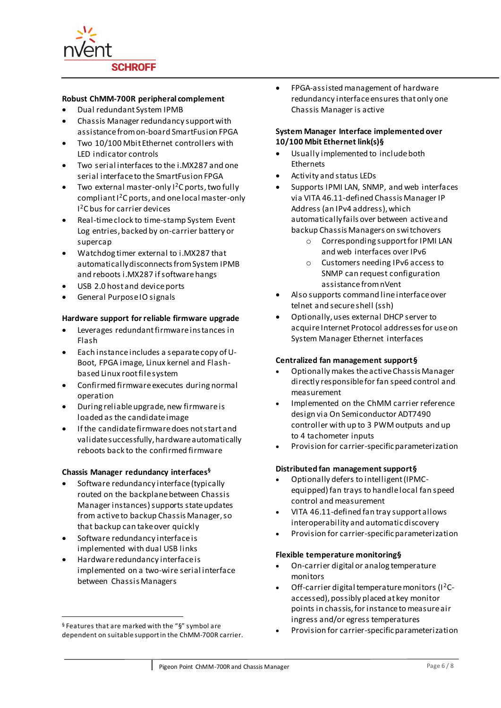

### **Robust ChMM-700R peripheral complement**

- Dual redundant System IPMB
- Chassis Manager redundancy support with assistance from on-board SmartFusion FPGA
- Two 10/100 Mbit Ethernet controllers with LED indicator controls
- Two serial interfaces to the i.MX287 and one serial interface to the SmartFusion FPGA
- Two external master-only <sup>2</sup>C ports, two fully compliant I<sup>2</sup>C ports, and one local master-only I <sup>2</sup>C bus for carrier devices
- Real-time clock to time-stamp System Event Log entries, backed by on-carrier battery or supercap
- Watchdog timer external to i.MX287 that automatically disconnects from System IPMB and reboots i.MX287 if software hangs
- USB 2.0 host and device ports
- General Purpose IO signals

### **Hardware support for reliable firmware upgrade**

- Leverages redundant firmware instances in Flash
- Each instance includes a separate copy of U-Boot, FPGA image, Linux kernel and Flashbased Linux root file system
- Confirmed firmware executes during normal operation
- During reliable upgrade, new firmware is loaded as the candidate image
- If the candidate firmware does not start and validate successfully, hardware automatically reboots back to the confirmed firmware

#### **Chassis Manager redundancy interfaces§**

- Software redundancy interface (typically routed on the backplane between Chassis Manager instances) supports state updates from active to backup Chassis Manager, so that backup can take over quickly
- Software redundancy interface is implemented with dual USB links

l

 Hardware redundancy interface is implemented on a two-wire serial interface between Chassis Managers

 FPGA-assisted management of hardware redundancy interface ensures that only one Chassis Manager is active

## **System Manager Interface implemented over 10/100 Mbit Ethernet link(s[\)§](#page-5-0)**

- Usually implemented to include both Ethernets
- Activity and status LEDs
- Supports IPMI LAN, SNMP, and web interfaces via VITA 46.11-defined Chassis Manager IP Address (an IPv4 address), which automatically fails over between active and backup Chassis Managers on switchovers
	- o Corresponding support for IPMI LAN and web interfaces over IPv6
	- o Customers needing IPv6 access to SNMP can request configuration assistance from nVent
- Also supports command line interface over telnet and secure shell (ssh)
- Optionally, uses external DHCP server to acquire Internet Protocol addresses for use on System Manager Ethernet interfaces

#### **Centralized fan management suppor[t§](#page-5-0)**

- Optionally makes the active Chassis Manager directly responsible for fan speed control and measurement
- Implemented on the ChMM carrier reference design via On Semiconductor ADT7490 controller with up to 3 PWM outputs and up to 4 tachometer inputs
- Provision for carrier-specific parameterization

## <span id="page-5-0"></span>**Distributed fan management suppor[t§](#page-5-0)**

- Optionally defers to intelligent (IPMCequipped) fan trays to handle local fan speed control and measurement
- VITA 46.11-defined fan tray support allows interoperability and automatic discovery
- Provision for carrier-specific parameterization

#### **Flexible temperature monitorin[g§](#page-5-0)**

- On-carrier digital or analog temperature monitors
- Off-carrier digital temperature monitors  $(1^2C$ accessed), possibly placed at key monitor points in chassis, for instance to measure air ingress and/or egress temperatures
- Provision for carrier-specific parameterization

<sup>§</sup> Features that are marked with the "§" symbol are dependent on suitable support in the ChMM-700R carrier.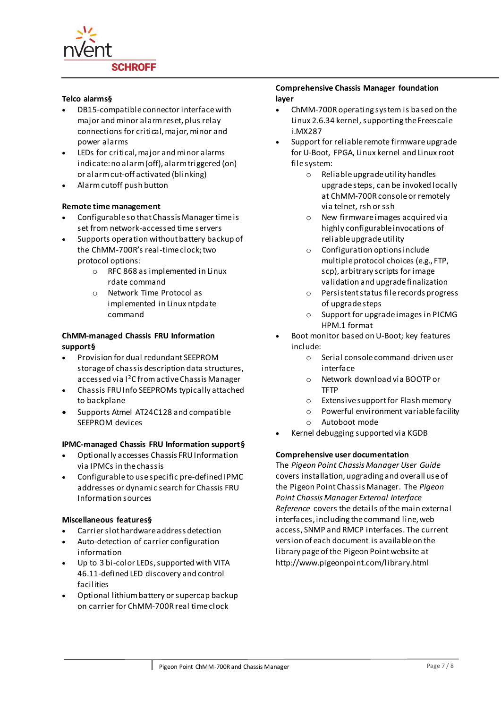

#### **Telco alarm[s§](#page-5-0)**

- DB15-compatible connector interface with major and minor alarm reset, plus relay connections for critical, major, minor and power alarms
- LEDs for critical, major and minor alarms indicate: no alarm (off), alarm triggered (on) or alarm cut-off activated (blinking)
- Alarm cutoff push button

### **Remote time management**

- Configurable so that Chassis Manager time is set from network-accessed time servers
- Supports operation without battery backup of the ChMM-700R's real-time clock; two protocol options:
	- o RFC 868 as implemented in Linux rdate command
	- o Network Time Protocol as implemented in Linux ntpdate command

## **ChMM-managed Chassis FRU Information suppor[t§](#page-5-0)**

- Provision for dual redundant SEEPROM storage of chassis description data structures, accessed via I<sup>2</sup>C from active Chassis Manager
- Chassis FRU Info SEEPROMs typically attached to backplane
- Supports Atmel AT24C128 and compatible SEEPROM devices

## **IPMC-managed Chassis FRU Information suppor[t§](#page-5-0)**

- Optionally accesses Chassis FRU Information via IPMCs in the chassis
- Configurable to use specific pre-defined IPMC addresses or dynamic search for Chassis FRU Information sources

## **Miscellaneous feature[s§](#page-5-0)**

- Carrier slot hardware address detection
- Auto-detection of carrier configuration information
- Up to 3 bi-color LEDs, supported with VITA 46.11-defined LED discovery and control facilities
- Optional lithium battery or supercap backup on carrier for ChMM-700R real time clock

#### **Comprehensive Chassis Manager foundation layer**

- ChMM-700R operating system is based on the Linux 2.6.34 kernel, supporting the Freescale i.MX287
- Support for reliable remote firmware upgrade for U-Boot, FPGA, Linux kernel and Linux root file system:
	- o Reliable upgrade utility handles upgrade steps, can be invoked locally at ChMM-700R console or remotely via telnet, rsh or ssh
	- o New firmware images acquired via highly configurable invocations of reliable upgrade utility
	- o Configuration options include multiple protocol choices (e.g., FTP, scp), arbitrary scripts for image validation and upgrade finalization
	- o Persistent status file records progress of upgrade steps
	- o Support for upgrade images in PICMG HPM.1 format
- Boot monitor based on U-Boot; key features include:
	- o Serial console command-driven user interface
	- o Network download via BOOTP or TFTP
	- o Extensive support for Flash memory
	- o Powerful environment variable facility
	- o Autoboot mode
- Kernel debugging supported via KGDB

## **Comprehensive user documentation**

The *Pigeon Point Chassis Manager User Guide*  covers installation, upgrading and overall use of the Pigeon Point Chassis Manager. The *Pigeon Point Chassis Manager External Interface Reference* covers the details of the main external interfaces, including the command line, web access, SNMP and RMCP interfaces. The current version of each document is available on the library page of the Pigeon Point website at http://www.pigeonpoint.com/library.html